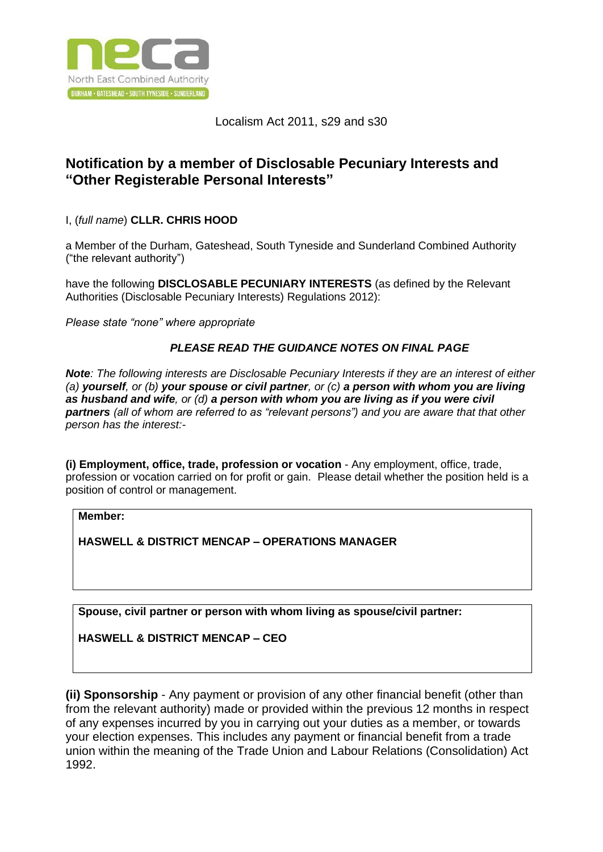

## Localism Act 2011, s29 and s30

# **Notification by a member of Disclosable Pecuniary Interests and "Other Registerable Personal Interests"**

I, (*full name*) **CLLR. CHRIS HOOD**

a Member of the Durham, Gateshead, South Tyneside and Sunderland Combined Authority ("the relevant authority")

have the following **DISCLOSABLE PECUNIARY INTERESTS** (as defined by the Relevant Authorities (Disclosable Pecuniary Interests) Regulations 2012):

*Please state "none" where appropriate*

### *PLEASE READ THE GUIDANCE NOTES ON FINAL PAGE*

*Note: The following interests are Disclosable Pecuniary Interests if they are an interest of either (a) yourself, or (b) your spouse or civil partner, or (c) a person with whom you are living as husband and wife, or (d) a person with whom you are living as if you were civil partners (all of whom are referred to as "relevant persons") and you are aware that that other person has the interest:-*

**(i) Employment, office, trade, profession or vocation** - Any employment, office, trade, profession or vocation carried on for profit or gain. Please detail whether the position held is a position of control or management.

**Member:**

**HASWELL & DISTRICT MENCAP – OPERATIONS MANAGER**

**Spouse, civil partner or person with whom living as spouse/civil partner:**

**HASWELL & DISTRICT MENCAP – CEO**

**(ii) Sponsorship** - Any payment or provision of any other financial benefit (other than from the relevant authority) made or provided within the previous 12 months in respect of any expenses incurred by you in carrying out your duties as a member, or towards your election expenses. This includes any payment or financial benefit from a trade union within the meaning of the Trade Union and Labour Relations (Consolidation) Act 1992.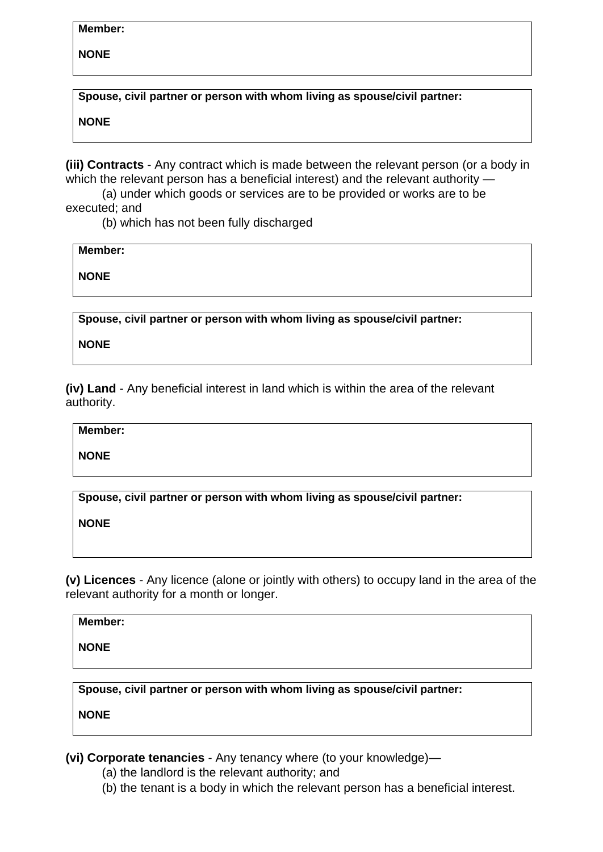### **Member:**

**NONE**

**Spouse, civil partner or person with whom living as spouse/civil partner:**

**NONE**

**(iii) Contracts** - Any contract which is made between the relevant person (or a body in which the relevant person has a beneficial interest) and the relevant authority —

(a) under which goods or services are to be provided or works are to be executed; and

(b) which has not been fully discharged

**Member:**

**NONE**

**Spouse, civil partner or person with whom living as spouse/civil partner:**

**NONE**

**(iv) Land** - Any beneficial interest in land which is within the area of the relevant authority.

**Member:**

**NONE**

**Spouse, civil partner or person with whom living as spouse/civil partner:**

**NONE**

**(v) Licences** - Any licence (alone or jointly with others) to occupy land in the area of the relevant authority for a month or longer.

**Member:**

**NONE**

**Spouse, civil partner or person with whom living as spouse/civil partner:**

**NONE**

**(vi) Corporate tenancies** - Any tenancy where (to your knowledge)—

- (a) the landlord is the relevant authority; and
- (b) the tenant is a body in which the relevant person has a beneficial interest.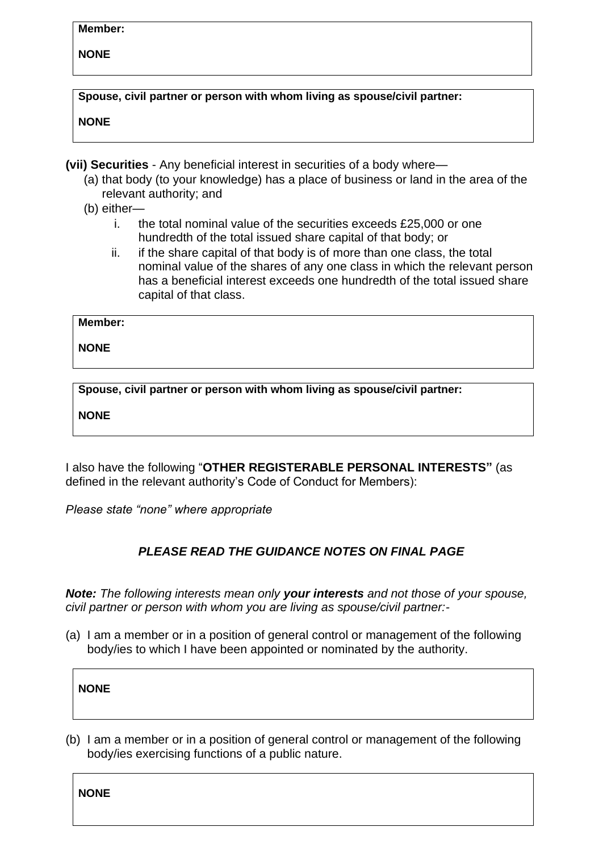#### **Member:**

### **NONE**

**Spouse, civil partner or person with whom living as spouse/civil partner:**

**NONE**

**(vii) Securities** - Any beneficial interest in securities of a body where—

- (a) that body (to your knowledge) has a place of business or land in the area of the relevant authority; and
- (b) either
	- i. the total nominal value of the securities exceeds £25,000 or one hundredth of the total issued share capital of that body; or
	- ii. if the share capital of that body is of more than one class, the total nominal value of the shares of any one class in which the relevant person has a beneficial interest exceeds one hundredth of the total issued share capital of that class.

**Member:**

**NONE**

**Spouse, civil partner or person with whom living as spouse/civil partner:**

**NONE**

I also have the following "**OTHER REGISTERABLE PERSONAL INTERESTS"** (as defined in the relevant authority's Code of Conduct for Members):

*Please state "none" where appropriate*

# *PLEASE READ THE GUIDANCE NOTES ON FINAL PAGE*

*Note: The following interests mean only your interests and not those of your spouse, civil partner or person with whom you are living as spouse/civil partner:-*

(a) I am a member or in a position of general control or management of the following body/ies to which I have been appointed or nominated by the authority.

| w<br>M |
|--------|
|--------|

(b) I am a member or in a position of general control or management of the following body/ies exercising functions of a public nature.

**NONE**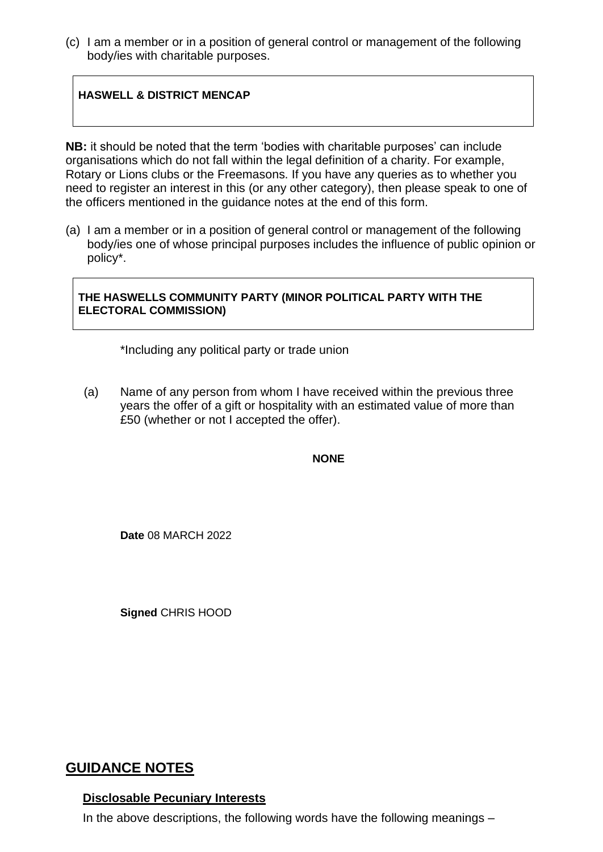(c) I am a member or in a position of general control or management of the following body/ies with charitable purposes.

## **HASWELL & DISTRICT MENCAP**

**NB:** it should be noted that the term 'bodies with charitable purposes' can include organisations which do not fall within the legal definition of a charity. For example, Rotary or Lions clubs or the Freemasons. If you have any queries as to whether you need to register an interest in this (or any other category), then please speak to one of the officers mentioned in the guidance notes at the end of this form.

(a) I am a member or in a position of general control or management of the following body/ies one of whose principal purposes includes the influence of public opinion or policy\*.

### **THE HASWELLS COMMUNITY PARTY (MINOR POLITICAL PARTY WITH THE ELECTORAL COMMISSION)**

\*Including any political party or trade union

(a) Name of any person from whom I have received within the previous three years the offer of a gift or hospitality with an estimated value of more than £50 (whether or not I accepted the offer).

**NONE**

**Date** 08 MARCH 2022

**Signed** CHRIS HOOD

# **GUIDANCE NOTES**

#### **Disclosable Pecuniary Interests**

In the above descriptions, the following words have the following meanings –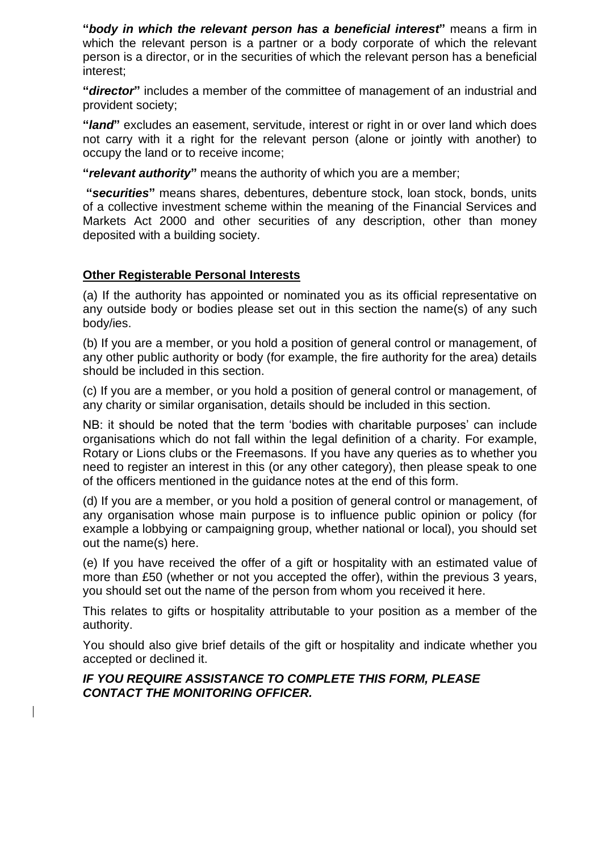**"***body in which the relevant person has a beneficial interest***"** means a firm in which the relevant person is a partner or a body corporate of which the relevant person is a director, or in the securities of which the relevant person has a beneficial interest;

**"***director***"** includes a member of the committee of management of an industrial and provident society;

**"***land***"** excludes an easement, servitude, interest or right in or over land which does not carry with it a right for the relevant person (alone or jointly with another) to occupy the land or to receive income;

**"***relevant authority***"** means the authority of which you are a member;

**"***securities***"** means shares, debentures, debenture stock, loan stock, bonds, units of a collective investment scheme within the meaning of the Financial Services and Markets Act 2000 and other securities of any description, other than money deposited with a building society.

### **Other Registerable Personal Interests**

(a) If the authority has appointed or nominated you as its official representative on any outside body or bodies please set out in this section the name(s) of any such body/ies.

(b) If you are a member, or you hold a position of general control or management, of any other public authority or body (for example, the fire authority for the area) details should be included in this section.

(c) If you are a member, or you hold a position of general control or management, of any charity or similar organisation, details should be included in this section.

NB: it should be noted that the term 'bodies with charitable purposes' can include organisations which do not fall within the legal definition of a charity. For example, Rotary or Lions clubs or the Freemasons. If you have any queries as to whether you need to register an interest in this (or any other category), then please speak to one of the officers mentioned in the guidance notes at the end of this form.

(d) If you are a member, or you hold a position of general control or management, of any organisation whose main purpose is to influence public opinion or policy (for example a lobbying or campaigning group, whether national or local), you should set out the name(s) here.

(e) If you have received the offer of a gift or hospitality with an estimated value of more than £50 (whether or not you accepted the offer), within the previous 3 years, you should set out the name of the person from whom you received it here.

This relates to gifts or hospitality attributable to your position as a member of the authority.

You should also give brief details of the gift or hospitality and indicate whether you accepted or declined it.

### *IF YOU REQUIRE ASSISTANCE TO COMPLETE THIS FORM, PLEASE CONTACT THE MONITORING OFFICER.*